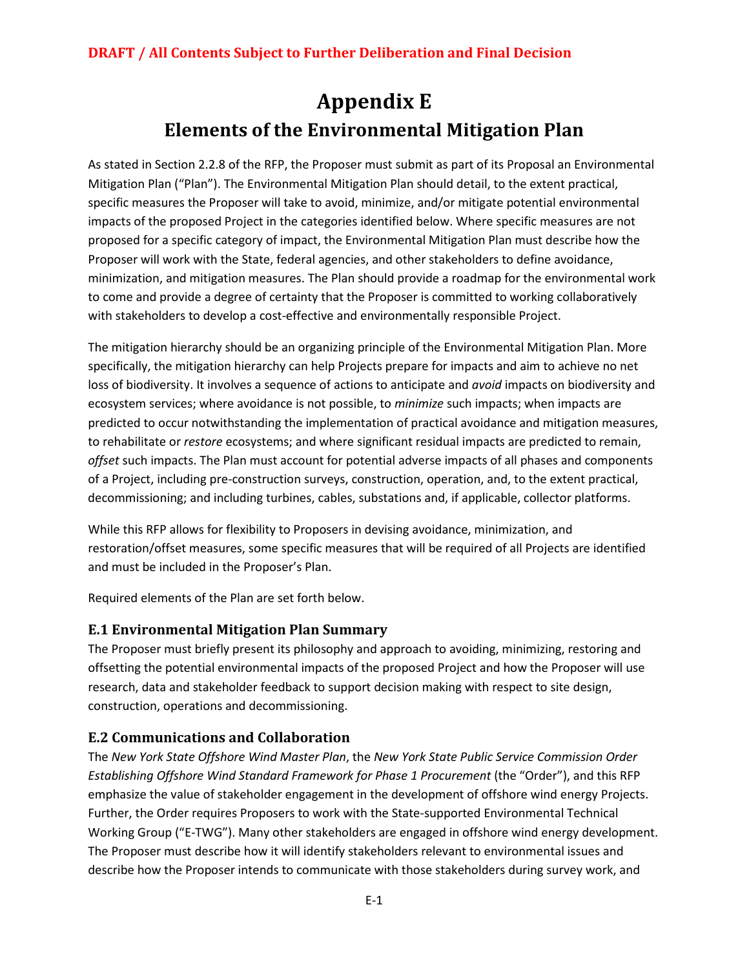# **Appendix E Elements of the Environmental Mitigation Plan**

As stated in Section 2.2.8 of the RFP, the Proposer must submit as part of its Proposal an Environmental Mitigation Plan ("Plan"). The Environmental Mitigation Plan should detail, to the extent practical, specific measures the Proposer will take to avoid, minimize, and/or mitigate potential environmental impacts of the proposed Project in the categories identified below. Where specific measures are not proposed for a specific category of impact, the Environmental Mitigation Plan must describe how the Proposer will work with the State, federal agencies, and other stakeholders to define avoidance, minimization, and mitigation measures. The Plan should provide a roadmap for the environmental work to come and provide a degree of certainty that the Proposer is committed to working collaboratively with stakeholders to develop a cost-effective and environmentally responsible Project.

The mitigation hierarchy should be an organizing principle of the Environmental Mitigation Plan. More specifically, the mitigation hierarchy can help Projects prepare for impacts and aim to achieve no net loss of biodiversity. It involves a sequence of actions to anticipate and *avoid* impacts on biodiversity and ecosystem services; where avoidance is not possible, to *minimize* such impacts; when impacts are predicted to occur notwithstanding the implementation of practical avoidance and mitigation measures, to rehabilitate or *restore* ecosystems; and where significant residual impacts are predicted to remain, *offset* such impacts. The Plan must account for potential adverse impacts of all phases and components of a Project, including pre-construction surveys, construction, operation, and, to the extent practical, decommissioning; and including turbines, cables, substations and, if applicable, collector platforms.

While this RFP allows for flexibility to Proposers in devising avoidance, minimization, and restoration/offset measures, some specific measures that will be required of all Projects are identified and must be included in the Proposer's Plan.

Required elements of the Plan are set forth below.

## **E.1 Environmental Mitigation Plan Summary**

The Proposer must briefly present its philosophy and approach to avoiding, minimizing, restoring and offsetting the potential environmental impacts of the proposed Project and how the Proposer will use research, data and stakeholder feedback to support decision making with respect to site design, construction, operations and decommissioning.

# **E.2 Communications and Collaboration**

The *New York State Offshore Wind Master Plan*, the *New York State Public Service Commission Order Establishing Offshore Wind Standard Framework for Phase 1 Procurement* (the "Order"), and this RFP emphasize the value of stakeholder engagement in the development of offshore wind energy Projects. Further, the Order requires Proposers to work with the State-supported Environmental Technical Working Group ("E-TWG"). Many other stakeholders are engaged in offshore wind energy development. The Proposer must describe how it will identify stakeholders relevant to environmental issues and describe how the Proposer intends to communicate with those stakeholders during survey work, and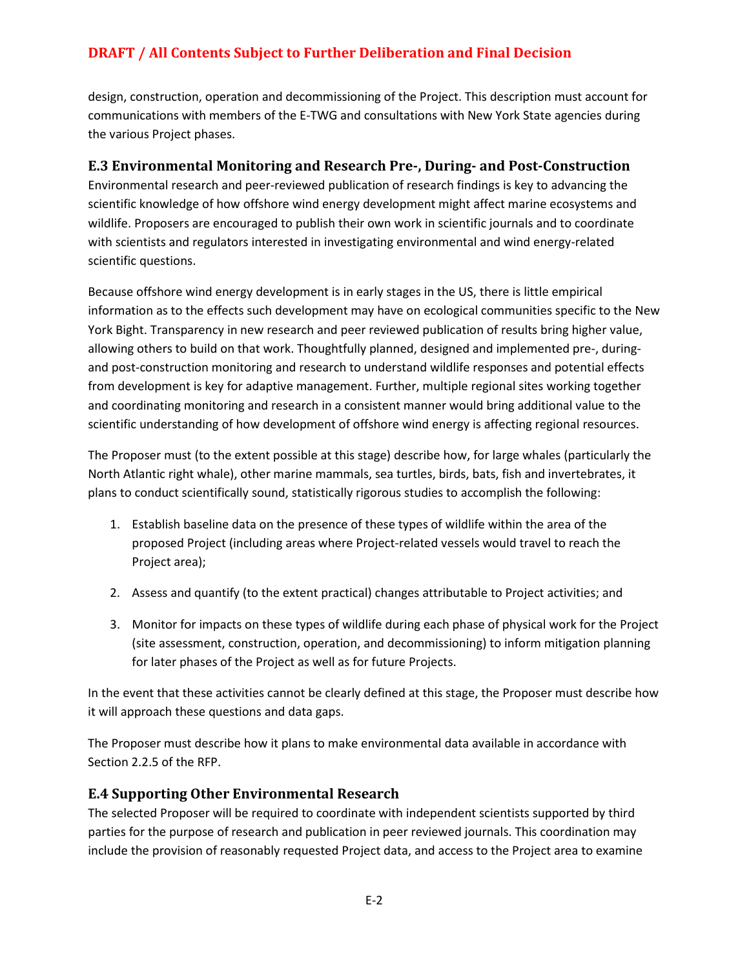design, construction, operation and decommissioning of the Project. This description must account for communications with members of the E-TWG and consultations with New York State agencies during the various Project phases.

## **E.3 Environmental Monitoring and Research Pre-, During- and Post-Construction**

Environmental research and peer-reviewed publication of research findings is key to advancing the scientific knowledge of how offshore wind energy development might affect marine ecosystems and wildlife. Proposers are encouraged to publish their own work in scientific journals and to coordinate with scientists and regulators interested in investigating environmental and wind energy-related scientific questions.

Because offshore wind energy development is in early stages in the US, there is little empirical information as to the effects such development may have on ecological communities specific to the New York Bight. Transparency in new research and peer reviewed publication of results bring higher value, allowing others to build on that work. Thoughtfully planned, designed and implemented pre-, duringand post-construction monitoring and research to understand wildlife responses and potential effects from development is key for adaptive management. Further, multiple regional sites working together and coordinating monitoring and research in a consistent manner would bring additional value to the scientific understanding of how development of offshore wind energy is affecting regional resources.

The Proposer must (to the extent possible at this stage) describe how, for large whales (particularly the North Atlantic right whale), other marine mammals, sea turtles, birds, bats, fish and invertebrates, it plans to conduct scientifically sound, statistically rigorous studies to accomplish the following:

- 1. Establish baseline data on the presence of these types of wildlife within the area of the proposed Project (including areas where Project-related vessels would travel to reach the Project area);
- 2. Assess and quantify (to the extent practical) changes attributable to Project activities; and
- 3. Monitor for impacts on these types of wildlife during each phase of physical work for the Project (site assessment, construction, operation, and decommissioning) to inform mitigation planning for later phases of the Project as well as for future Projects.

In the event that these activities cannot be clearly defined at this stage, the Proposer must describe how it will approach these questions and data gaps.

The Proposer must describe how it plans to make environmental data available in accordance with Section 2.2.5 of the RFP.

## **E.4 Supporting Other Environmental Research**

The selected Proposer will be required to coordinate with independent scientists supported by third parties for the purpose of research and publication in peer reviewed journals. This coordination may include the provision of reasonably requested Project data, and access to the Project area to examine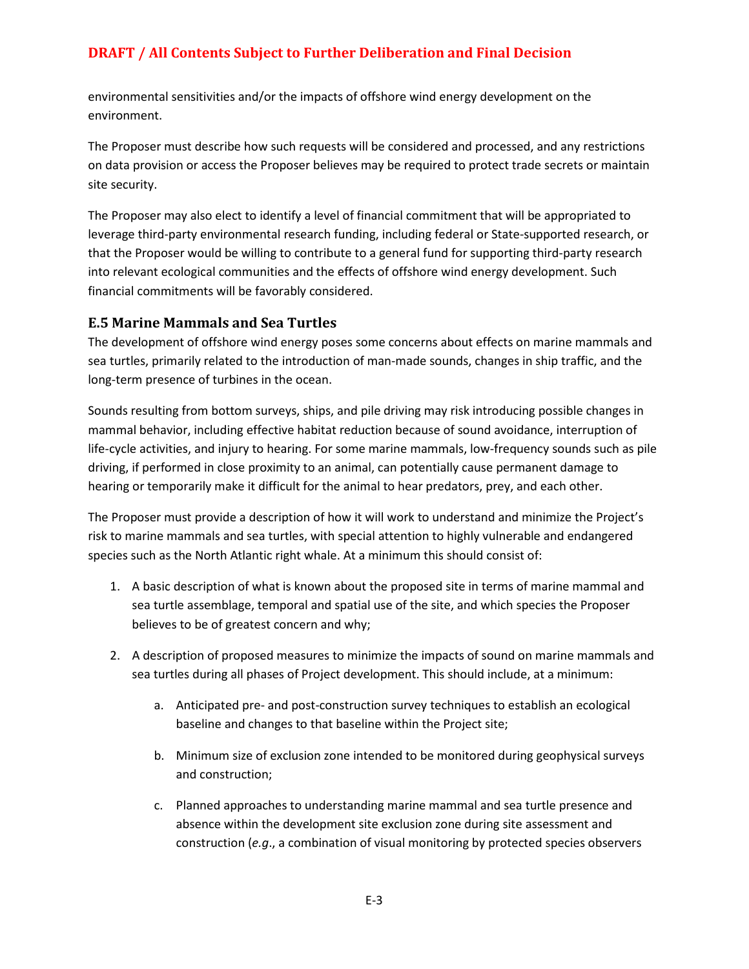environmental sensitivities and/or the impacts of offshore wind energy development on the environment.

The Proposer must describe how such requests will be considered and processed, and any restrictions on data provision or access the Proposer believes may be required to protect trade secrets or maintain site security.

The Proposer may also elect to identify a level of financial commitment that will be appropriated to leverage third-party environmental research funding, including federal or State-supported research, or that the Proposer would be willing to contribute to a general fund for supporting third-party research into relevant ecological communities and the effects of offshore wind energy development. Such financial commitments will be favorably considered.

#### **E.5 Marine Mammals and Sea Turtles**

The development of offshore wind energy poses some concerns about effects on marine mammals and sea turtles, primarily related to the introduction of man-made sounds, changes in ship traffic, and the long-term presence of turbines in the ocean.

Sounds resulting from bottom surveys, ships, and pile driving may risk introducing possible changes in mammal behavior, including effective habitat reduction because of sound avoidance, interruption of life-cycle activities, and injury to hearing. For some marine mammals, low-frequency sounds such as pile driving, if performed in close proximity to an animal, can potentially cause permanent damage to hearing or temporarily make it difficult for the animal to hear predators, prey, and each other.

The Proposer must provide a description of how it will work to understand and minimize the Project's risk to marine mammals and sea turtles, with special attention to highly vulnerable and endangered species such as the North Atlantic right whale. At a minimum this should consist of:

- 1. A basic description of what is known about the proposed site in terms of marine mammal and sea turtle assemblage, temporal and spatial use of the site, and which species the Proposer believes to be of greatest concern and why;
- 2. A description of proposed measures to minimize the impacts of sound on marine mammals and sea turtles during all phases of Project development. This should include, at a minimum:
	- a. Anticipated pre- and post-construction survey techniques to establish an ecological baseline and changes to that baseline within the Project site;
	- b. Minimum size of exclusion zone intended to be monitored during geophysical surveys and construction;
	- c. Planned approaches to understanding marine mammal and sea turtle presence and absence within the development site exclusion zone during site assessment and construction (*e.g*., a combination of visual monitoring by protected species observers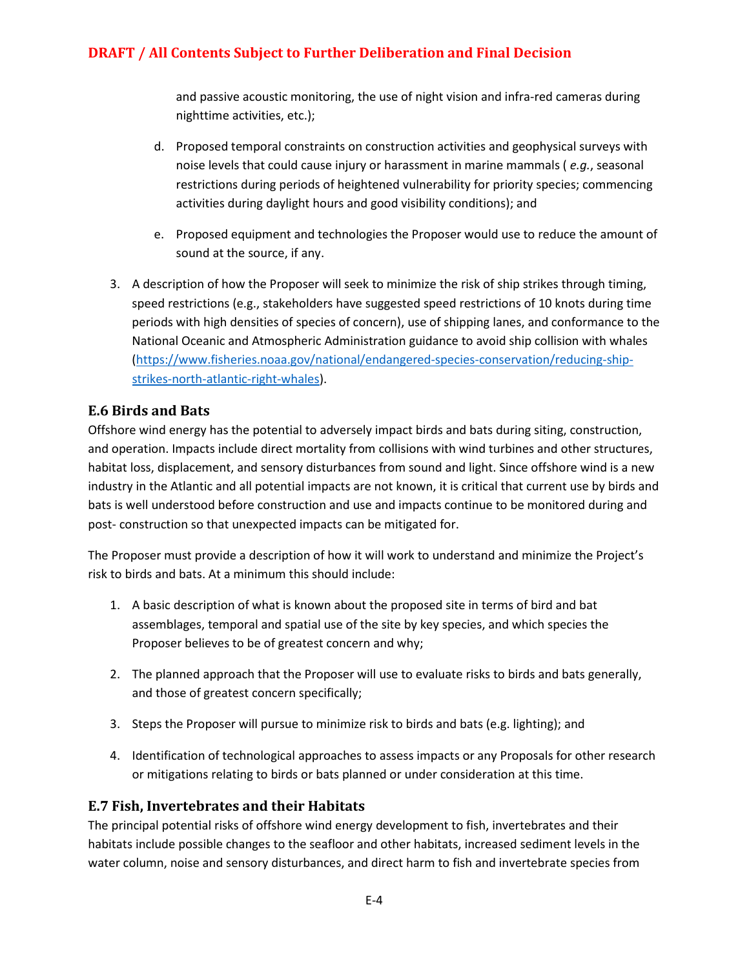and passive acoustic monitoring, the use of night vision and infra-red cameras during nighttime activities, etc.);

- d. Proposed temporal constraints on construction activities and geophysical surveys with noise levels that could cause injury or harassment in marine mammals ( *e.g.*, seasonal restrictions during periods of heightened vulnerability for priority species; commencing activities during daylight hours and good visibility conditions); and
- e. Proposed equipment and technologies the Proposer would use to reduce the amount of sound at the source, if any.
- 3. A description of how the Proposer will seek to minimize the risk of ship strikes through timing, speed restrictions (e.g., stakeholders have suggested speed restrictions of 10 knots during time periods with high densities of species of concern), use of shipping lanes, and conformance to the National Oceanic and Atmospheric Administration guidance to avoid ship collision with whales [\(https://www.fisheries.noaa.gov/national/endangered-species-conservation/reducing-ship](https://www.fisheries.noaa.gov/national/endangered-species-conservation/reducing-ship-strikes-north-atlantic-right-whales)[strikes-north-atlantic-right-whales\)](https://www.fisheries.noaa.gov/national/endangered-species-conservation/reducing-ship-strikes-north-atlantic-right-whales).

# **E.6 Birds and Bats**

Offshore wind energy has the potential to adversely impact birds and bats during siting, construction, and operation. Impacts include direct mortality from collisions with wind turbines and other structures, habitat loss, displacement, and sensory disturbances from sound and light. Since offshore wind is a new industry in the Atlantic and all potential impacts are not known, it is critical that current use by birds and bats is well understood before construction and use and impacts continue to be monitored during and post- construction so that unexpected impacts can be mitigated for.

The Proposer must provide a description of how it will work to understand and minimize the Project's risk to birds and bats. At a minimum this should include:

- 1. A basic description of what is known about the proposed site in terms of bird and bat assemblages, temporal and spatial use of the site by key species, and which species the Proposer believes to be of greatest concern and why;
- 2. The planned approach that the Proposer will use to evaluate risks to birds and bats generally, and those of greatest concern specifically;
- 3. Steps the Proposer will pursue to minimize risk to birds and bats (e.g. lighting); and
- 4. Identification of technological approaches to assess impacts or any Proposals for other research or mitigations relating to birds or bats planned or under consideration at this time.

## **E.7 Fish, Invertebrates and their Habitats**

The principal potential risks of offshore wind energy development to fish, invertebrates and their habitats include possible changes to the seafloor and other habitats, increased sediment levels in the water column, noise and sensory disturbances, and direct harm to fish and invertebrate species from